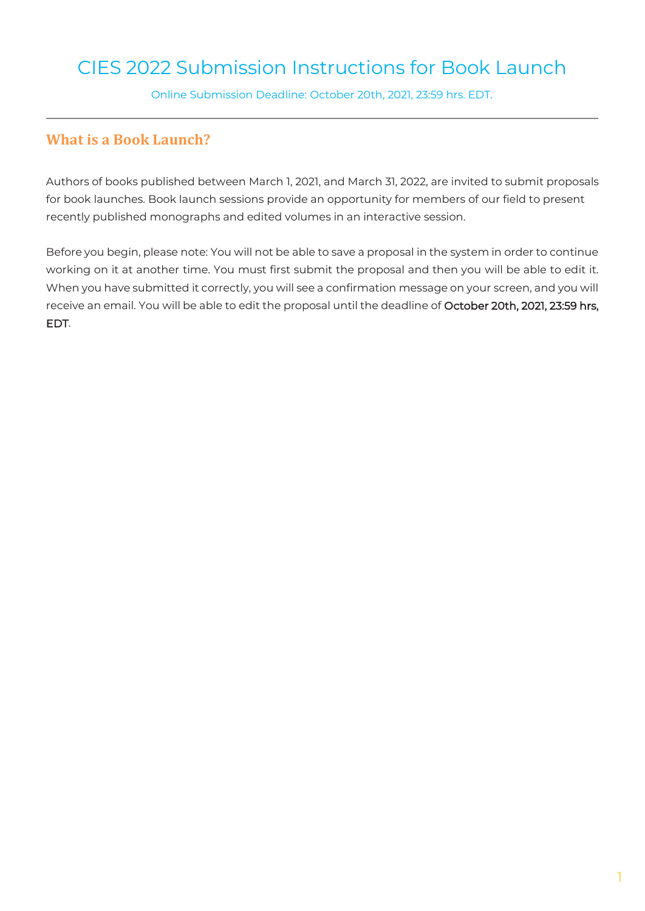# CIES 2022 Submission Instructions for Book Launch

Online Submission Deadline: October 20th, 2021, 23:59 hrs. EDT.

### **What is a Book Launch?**

Authors of books published between March 1, 2021, and March 31, 2022, are invited to submit proposals for book launches. Book launch sessions provide an opportunity for members of our field to present recently published monographs and edited volumes in an interactive session.

Before you begin, please note: You will not be able to save a proposal in the system in order to continue working on it at another time. You must first submit the proposal and then you will be able to edit it. When you have submitted it correctly, you will see a confirmation message on your screen, and you will receive an email. You will be able to edit the proposal until the deadline of October 20th, 2021, 23:59 hrs, EDT.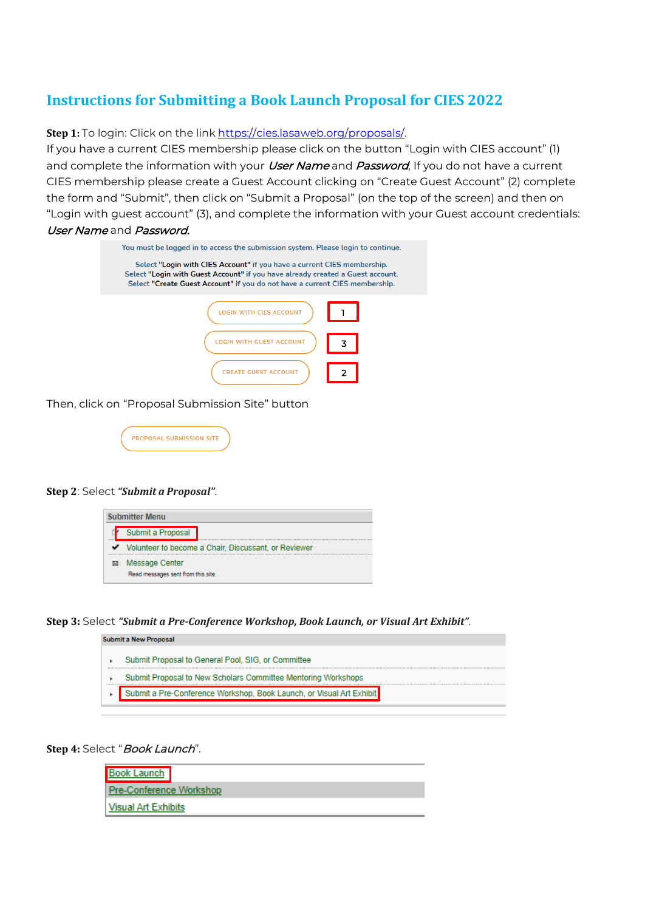## **Instructions for Submitting a Book Launch Proposal for CIES 2022**

**Step 1:** To login: Click on the link [https://cies.lasaweb.org/proposals/.](https://cies.lasaweb.org/proposals/)

If you have a current CIES membership please click on the button "Login with CIES account" (1) and complete the information with your *User Name* and *Password*, If you do not have a current CIES membership please create a Guest Account clicking on "Create Guest Account" (2) complete the form and "Submit", then click on "Submit a Proposal" (on the top of the screen) and then on "Login with guest account" (3), and complete the information with your Guest account credentials: User Name and Password.

| You must be logged in to access the submission system. Please login to continue.                                                                                                                                                         |  |  |  |  |
|------------------------------------------------------------------------------------------------------------------------------------------------------------------------------------------------------------------------------------------|--|--|--|--|
| Select "Login with CIES Account" if you have a current CIES membership.<br>Select "Login with Guest Account" if you have already created a Guest account.<br>Select "Create Guest Account" if you do not have a current CIES membership. |  |  |  |  |
| <b>WITH CIES ACCOUNT</b>                                                                                                                                                                                                                 |  |  |  |  |
| ITH GUEST ACCOUNT                                                                                                                                                                                                                        |  |  |  |  |
| <b>CREATE GUEST ACCOUNT</b>                                                                                                                                                                                                              |  |  |  |  |

Then, click on "Proposal Submission Site" button

| <b>PROPOSAL SUBMISSION SIT</b> |  |
|--------------------------------|--|
|                                |  |

#### **Step 2**: Select *"Submit a Proposal"*.



**Step 3:** Select *"Submit a Pre-Conference Workshop, Book Launch, or Visual Art Exhibit"*.

| Submit a New Proposal |                                                                      |  |  |  |  |
|-----------------------|----------------------------------------------------------------------|--|--|--|--|
|                       | Submit Proposal to General Pool, SIG, or Committee                   |  |  |  |  |
|                       | Submit Proposal to New Scholars Committee Mentoring Workshops        |  |  |  |  |
|                       | Submit a Pre-Conference Workshop, Book Launch, or Visual Art Exhibit |  |  |  |  |

### Step 4: Select "Book Launch".

| <b>Book Launch</b>             |
|--------------------------------|
| <b>Pre-Conference Workshop</b> |
| Visual Art Exhibits            |